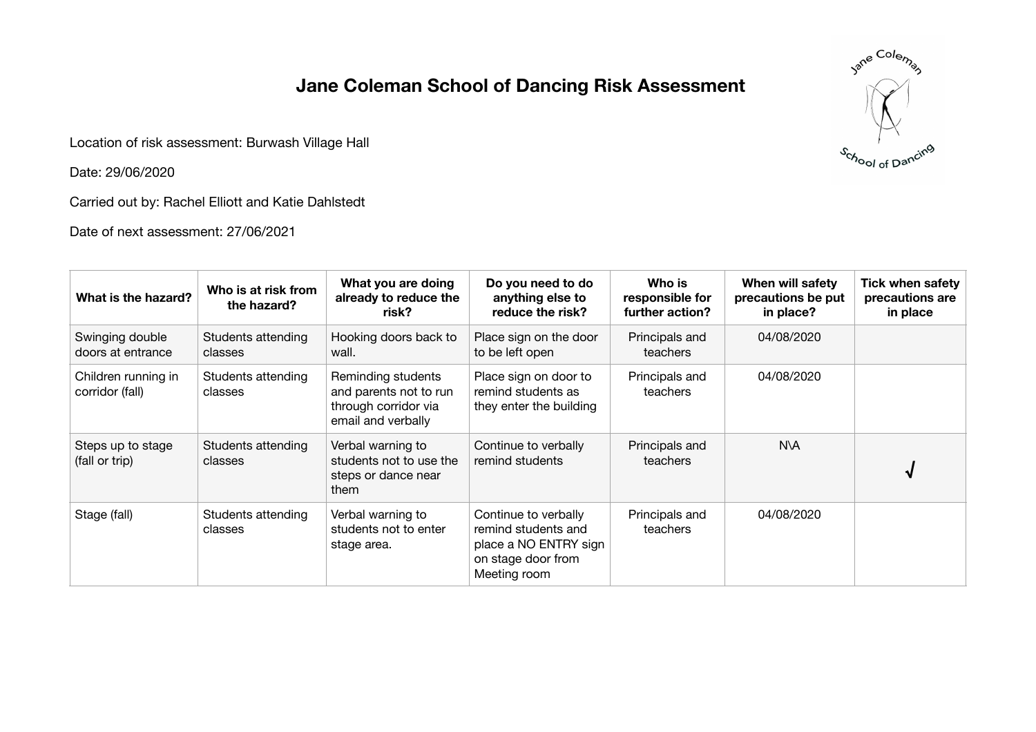## **Jane Coleman School of Dancing Risk Assessment**

Location of risk assessment: Burwash Village Hall

Date: 29/06/2020

Carried out by: Rachel Elliott and Katie Dahlstedt

Date of next assessment: 27/06/2021



| What is the hazard?                    | Who is at risk from<br>the hazard? | What you are doing<br>already to reduce the<br>risk?                                       | Do you need to do<br>anything else to<br>reduce the risk?                                                  | Who is<br>responsible for<br>further action? | When will safety<br>precautions be put<br>in place? | <b>Tick when safety</b><br>precautions are<br>in place |
|----------------------------------------|------------------------------------|--------------------------------------------------------------------------------------------|------------------------------------------------------------------------------------------------------------|----------------------------------------------|-----------------------------------------------------|--------------------------------------------------------|
| Swinging double<br>doors at entrance   | Students attending<br>classes      | Hooking doors back to<br>wall.                                                             | Place sign on the door<br>to be left open                                                                  | Principals and<br>teachers                   | 04/08/2020                                          |                                                        |
| Children running in<br>corridor (fall) | Students attending<br>classes      | Reminding students<br>and parents not to run<br>through corridor via<br>email and verbally | Place sign on door to<br>remind students as<br>they enter the building                                     | Principals and<br>teachers                   | 04/08/2020                                          |                                                        |
| Steps up to stage<br>(fall or trip)    | Students attending<br>classes      | Verbal warning to<br>students not to use the<br>steps or dance near<br>them                | Continue to verbally<br>remind students                                                                    | Principals and<br>teachers                   | N\A                                                 |                                                        |
| Stage (fall)                           | Students attending<br>classes      | Verbal warning to<br>students not to enter<br>stage area.                                  | Continue to verbally<br>remind students and<br>place a NO ENTRY sign<br>on stage door from<br>Meeting room | Principals and<br>teachers                   | 04/08/2020                                          |                                                        |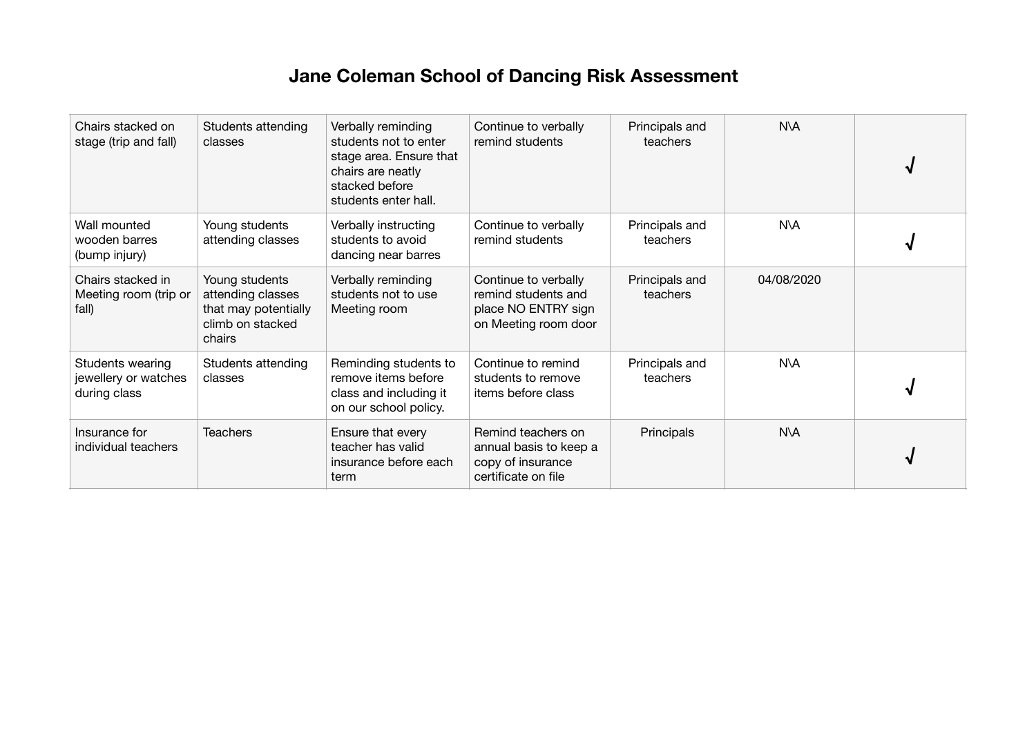## **Jane Coleman School of Dancing Risk Assessment**

| Chairs stacked on<br>stage (trip and fall)               | Students attending<br>classes                                                             | Verbally reminding<br>students not to enter<br>stage area. Ensure that<br>chairs are neatly<br>stacked before<br>students enter hall. | Continue to verbally<br>remind students                                                    | Principals and<br>teachers | N\A        |  |
|----------------------------------------------------------|-------------------------------------------------------------------------------------------|---------------------------------------------------------------------------------------------------------------------------------------|--------------------------------------------------------------------------------------------|----------------------------|------------|--|
| Wall mounted<br>wooden barres<br>(bump injury)           | Young students<br>attending classes                                                       | Verbally instructing<br>students to avoid<br>dancing near barres                                                                      | Continue to verbally<br>remind students                                                    | Principals and<br>teachers | N\A        |  |
| Chairs stacked in<br>Meeting room (trip or<br>fall)      | Young students<br>attending classes<br>that may potentially<br>climb on stacked<br>chairs | Verbally reminding<br>students not to use<br>Meeting room                                                                             | Continue to verbally<br>remind students and<br>place NO ENTRY sign<br>on Meeting room door | Principals and<br>teachers | 04/08/2020 |  |
| Students wearing<br>jewellery or watches<br>during class | Students attending<br>classes                                                             | Reminding students to<br>remove items before<br>class and including it<br>on our school policy.                                       | Continue to remind<br>students to remove<br>items before class                             | Principals and<br>teachers | <b>N\A</b> |  |
| Insurance for<br>individual teachers                     | <b>Teachers</b>                                                                           | Ensure that every<br>teacher has valid<br>insurance before each<br>term                                                               | Remind teachers on<br>annual basis to keep a<br>copy of insurance<br>certificate on file   | Principals                 | N\A        |  |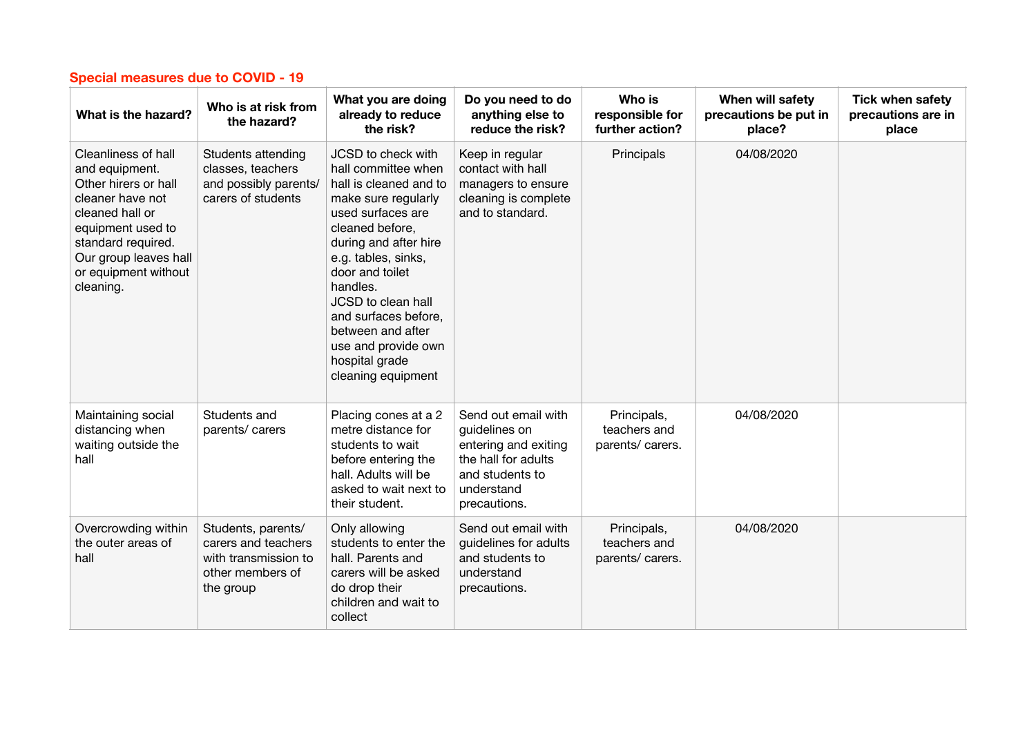| What is the hazard?                                                                                                                                                                                           | Who is at risk from<br>the hazard?                                                                 | What you are doing<br>already to reduce<br>the risk?                                                                                                                                                                                                                                                                                                | Do you need to do<br>anything else to<br>reduce the risk?                                                                            | Who is<br>responsible for<br>further action?    | When will safety<br>precautions be put in<br>place? | <b>Tick when safety</b><br>precautions are in<br>place |
|---------------------------------------------------------------------------------------------------------------------------------------------------------------------------------------------------------------|----------------------------------------------------------------------------------------------------|-----------------------------------------------------------------------------------------------------------------------------------------------------------------------------------------------------------------------------------------------------------------------------------------------------------------------------------------------------|--------------------------------------------------------------------------------------------------------------------------------------|-------------------------------------------------|-----------------------------------------------------|--------------------------------------------------------|
| Cleanliness of hall<br>and equipment.<br>Other hirers or hall<br>cleaner have not<br>cleaned hall or<br>equipment used to<br>standard required.<br>Our group leaves hall<br>or equipment without<br>cleaning. | Students attending<br>classes, teachers<br>and possibly parents/<br>carers of students             | JCSD to check with<br>hall committee when<br>hall is cleaned and to<br>make sure regularly<br>used surfaces are<br>cleaned before,<br>during and after hire<br>e.g. tables, sinks,<br>door and toilet<br>handles.<br>JCSD to clean hall<br>and surfaces before,<br>between and after<br>use and provide own<br>hospital grade<br>cleaning equipment | Keep in regular<br>contact with hall<br>managers to ensure<br>cleaning is complete<br>and to standard.                               | Principals                                      | 04/08/2020                                          |                                                        |
| Maintaining social<br>distancing when<br>waiting outside the<br>hall                                                                                                                                          | Students and<br>parents/ carers                                                                    | Placing cones at a 2<br>metre distance for<br>students to wait<br>before entering the<br>hall. Adults will be<br>asked to wait next to<br>their student.                                                                                                                                                                                            | Send out email with<br>guidelines on<br>entering and exiting<br>the hall for adults<br>and students to<br>understand<br>precautions. | Principals,<br>teachers and<br>parents/ carers. | 04/08/2020                                          |                                                        |
| Overcrowding within<br>the outer areas of<br>hall                                                                                                                                                             | Students, parents/<br>carers and teachers<br>with transmission to<br>other members of<br>the group | Only allowing<br>students to enter the<br>hall. Parents and<br>carers will be asked<br>do drop their<br>children and wait to<br>collect                                                                                                                                                                                                             | Send out email with<br>guidelines for adults<br>and students to<br>understand<br>precautions.                                        | Principals,<br>teachers and<br>parents/ carers. | 04/08/2020                                          |                                                        |

## **Special measures due to COVID - 19**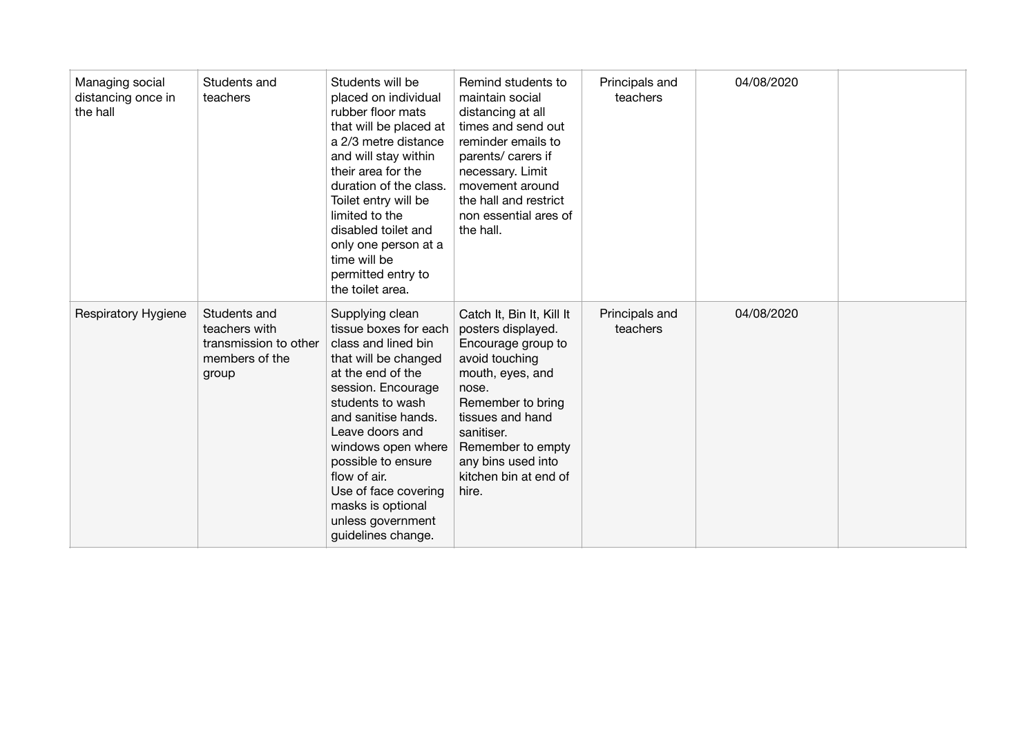| Managing social<br>distancing once in<br>the hall | Students and<br>teachers                                                          | Students will be<br>placed on individual<br>rubber floor mats<br>that will be placed at<br>a 2/3 metre distance<br>and will stay within<br>their area for the<br>duration of the class.<br>Toilet entry will be<br>limited to the<br>disabled toilet and<br>only one person at a<br>time will be<br>permitted entry to<br>the toilet area.           | Remind students to<br>maintain social<br>distancing at all<br>times and send out<br>reminder emails to<br>parents/ carers if<br>necessary. Limit<br>movement around<br>the hall and restrict<br>non essential ares of<br>the hall.                       | Principals and<br>teachers | 04/08/2020 |  |
|---------------------------------------------------|-----------------------------------------------------------------------------------|------------------------------------------------------------------------------------------------------------------------------------------------------------------------------------------------------------------------------------------------------------------------------------------------------------------------------------------------------|----------------------------------------------------------------------------------------------------------------------------------------------------------------------------------------------------------------------------------------------------------|----------------------------|------------|--|
| <b>Respiratory Hygiene</b>                        | Students and<br>teachers with<br>transmission to other<br>members of the<br>group | Supplying clean<br>tissue boxes for each<br>class and lined bin<br>that will be changed<br>at the end of the<br>session. Encourage<br>students to wash<br>and sanitise hands.<br>Leave doors and<br>windows open where<br>possible to ensure<br>flow of air.<br>Use of face covering<br>masks is optional<br>unless government<br>guidelines change. | Catch It, Bin It, Kill It<br>posters displayed.<br>Encourage group to<br>avoid touching<br>mouth, eyes, and<br>nose.<br>Remember to bring<br>tissues and hand<br>sanitiser.<br>Remember to empty<br>any bins used into<br>kitchen bin at end of<br>hire. | Principals and<br>teachers | 04/08/2020 |  |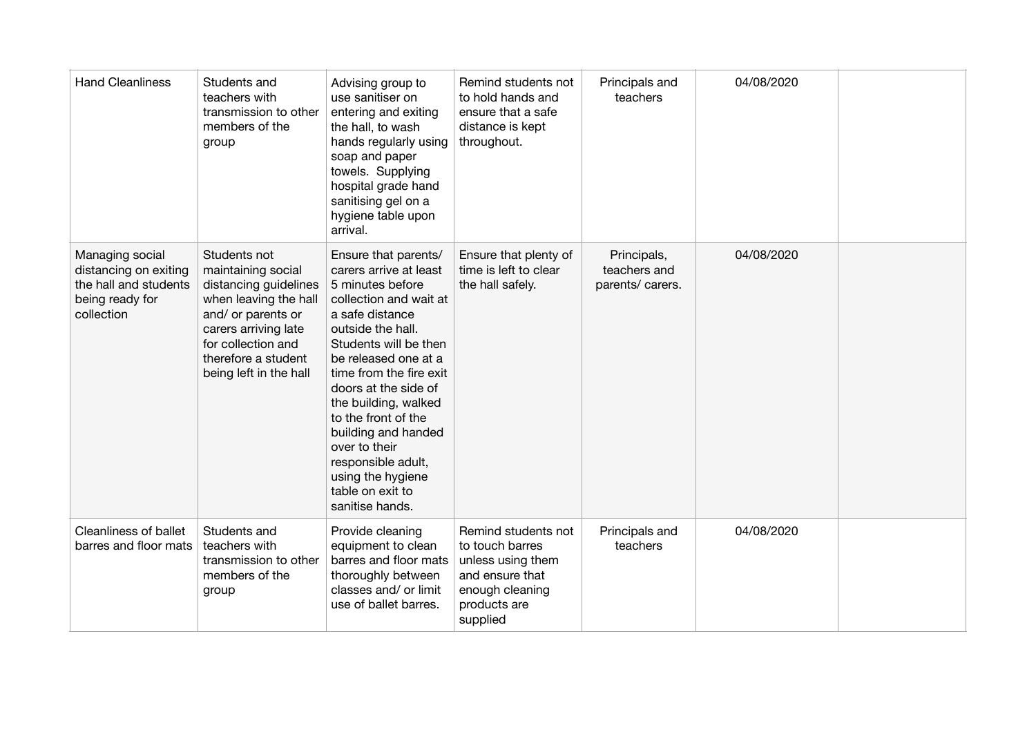| <b>Hand Cleanliness</b>                                                                            | Students and<br>teachers with<br>transmission to other<br>members of the<br>group                                                                                                                         | Advising group to<br>use sanitiser on<br>entering and exiting<br>the hall, to wash<br>hands regularly using<br>soap and paper<br>towels. Supplying<br>hospital grade hand<br>sanitising gel on a<br>hygiene table upon<br>arrival.                                                                                                                                                                                | Remind students not<br>to hold hands and<br>ensure that a safe<br>distance is kept<br>throughout.                             | Principals and<br>teachers                      | 04/08/2020 |  |
|----------------------------------------------------------------------------------------------------|-----------------------------------------------------------------------------------------------------------------------------------------------------------------------------------------------------------|-------------------------------------------------------------------------------------------------------------------------------------------------------------------------------------------------------------------------------------------------------------------------------------------------------------------------------------------------------------------------------------------------------------------|-------------------------------------------------------------------------------------------------------------------------------|-------------------------------------------------|------------|--|
| Managing social<br>distancing on exiting<br>the hall and students<br>being ready for<br>collection | Students not<br>maintaining social<br>distancing guidelines<br>when leaving the hall<br>and/ or parents or<br>carers arriving late<br>for collection and<br>therefore a student<br>being left in the hall | Ensure that parents/<br>carers arrive at least<br>5 minutes before<br>collection and wait at<br>a safe distance<br>outside the hall.<br>Students will be then<br>be released one at a<br>time from the fire exit<br>doors at the side of<br>the building, walked<br>to the front of the<br>building and handed<br>over to their<br>responsible adult,<br>using the hygiene<br>table on exit to<br>sanitise hands. | Ensure that plenty of<br>time is left to clear<br>the hall safely.                                                            | Principals,<br>teachers and<br>parents/ carers. | 04/08/2020 |  |
| <b>Cleanliness of ballet</b><br>barres and floor mats                                              | Students and<br>teachers with<br>transmission to other<br>members of the<br>group                                                                                                                         | Provide cleaning<br>equipment to clean<br>barres and floor mats<br>thoroughly between<br>classes and/ or limit<br>use of ballet barres.                                                                                                                                                                                                                                                                           | Remind students not<br>to touch barres<br>unless using them<br>and ensure that<br>enough cleaning<br>products are<br>supplied | Principals and<br>teachers                      | 04/08/2020 |  |